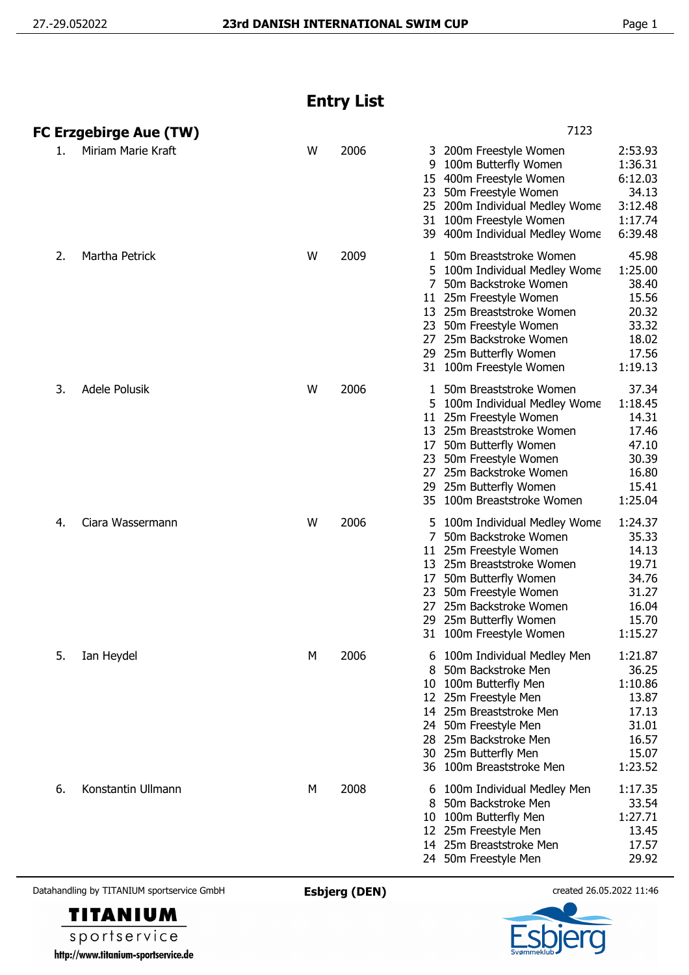## **Entry List**

|    | <b>FC Erzgebirge Aue (TW)</b> |   |      | 7123                                                                                                                                                                                                                                                                                                                                                              |  |  |  |
|----|-------------------------------|---|------|-------------------------------------------------------------------------------------------------------------------------------------------------------------------------------------------------------------------------------------------------------------------------------------------------------------------------------------------------------------------|--|--|--|
| 1. | Miriam Marie Kraft            | W | 2006 | 2:53.93<br>200m Freestyle Women<br>3<br>1:36.31<br>9<br>100m Butterfly Women<br>6:12.03<br>15 400m Freestyle Women<br>34.13<br>50m Freestyle Women<br>23<br>3:12.48<br>25 200m Individual Medley Wome<br>1:17.74<br>31 100m Freestyle Women<br>6:39.48<br>39 400m Individual Medley Wome                                                                          |  |  |  |
| 2. | Martha Petrick                | W | 2009 | 50m Breaststroke Women<br>45.98<br>1<br>1:25.00<br>5 100m Individual Medley Wome<br>7<br>38.40<br>50m Backstroke Women<br>15.56<br>11 25m Freestyle Women<br>20.32<br>13<br>25m Breaststroke Women<br>33.32<br>23<br>50m Freestyle Women<br>18.02<br>27<br>25m Backstroke Women<br>25m Butterfly Women<br>17.56<br>29<br>1:19.13<br>31 100m Freestyle Women       |  |  |  |
| 3. | Adele Polusik                 | W | 2006 | 37.34<br>50m Breaststroke Women<br>1<br>1:18.45<br>5 100m Individual Medley Wome<br>14.31<br>25m Freestyle Women<br>11<br>17.46<br>25m Breaststroke Women<br>13<br>47.10<br>50m Butterfly Women<br>17<br>30.39<br>50m Freestyle Women<br>23<br>25m Backstroke Women<br>16.80<br>27<br>15.41<br>25m Butterfly Women<br>29<br>1:25.04<br>35 100m Breaststroke Women |  |  |  |
| 4. | Ciara Wassermann              | W | 2006 | 1:24.37<br>100m Individual Medley Wome<br>35.33<br>50m Backstroke Women<br>25m Freestyle Women<br>14.13<br>11<br>19.71<br>25m Breaststroke Women<br>13<br>50m Butterfly Women<br>34.76<br>17<br>50m Freestyle Women<br>31.27<br>23<br>16.04<br>25m Backstroke Women<br>27<br>15.70<br>25m Butterfly Women<br>29<br>1:15.27<br>31 100m Freestyle Women             |  |  |  |
| 5. | Ian Heydel                    | М | 2006 | 100m Individual Medley Men<br>1:21.87<br>36.25<br>50m Backstroke Men<br>8<br>1:10.86<br>100m Butterfly Men<br>10<br>13.87<br>25m Freestyle Men<br>12<br>25m Breaststroke Men<br>17.13<br>14<br>31.01<br>50m Freestyle Men<br>24<br>16.57<br>25m Backstroke Men<br>28<br>25m Butterfly Men<br>15.07<br>30<br>100m Breaststroke Men<br>1:23.52<br>36                |  |  |  |
| 6. | Konstantin Ullmann            | M | 2008 | 1:17.35<br>100m Individual Medley Men<br>6<br>33.54<br>50m Backstroke Men<br>8<br>1:27.71<br>100m Butterfly Men<br>10<br>13.45<br>25m Freestyle Men<br>12<br>25m Breaststroke Men<br>17.57<br>14<br>29.92<br>24 50m Freestyle Men                                                                                                                                 |  |  |  |

Datahandling by TITANIUM sportservice GmbH **Esbjerg (DEN)** created 26.05.2022 11:46



sportservice http://www.titanium-sportservice.de

**TITANIUM**